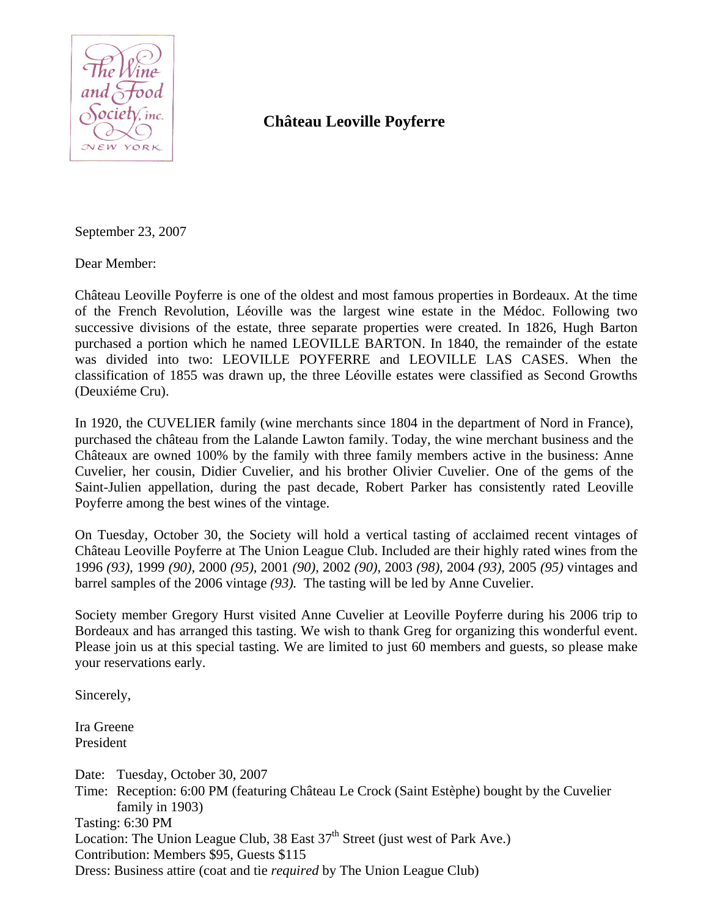

## **Château Leoville Poyferre**

September 23, 2007

Dear Member:

Château Leoville Poyferre is one of the oldest and most famous properties in Bordeaux. At the time of the French Revolution, Léoville was the largest wine estate in the Médoc. Following two successive divisions of the estate, three separate properties were created. In 1826, Hugh Barton purchased a portion which he named LEOVILLE BARTON. In 1840, the remainder of the estate was divided into two: LEOVILLE POYFERRE and LEOVILLE LAS CASES. When the classification of 1855 was drawn up, the three Léoville estates were classified as Second Growths (Deuxiéme Cru).

In 1920, the CUVELIER family (wine merchants since 1804 in the department of Nord in France), purchased the château from the Lalande Lawton family. Today, the wine merchant business and the Châteaux are owned 100% by the family with three family members active in the business: Anne Cuvelier, her cousin, Didier Cuvelier, and his brother Olivier Cuvelier. One of the gems of the Saint-Julien appellation, during the past decade, Robert Parker has consistently rated Leoville Poyferre among the best wines of the vintage.

On Tuesday, October 30, the Society will hold a vertical tasting of acclaimed recent vintages of Château Leoville Poyferre at The Union League Club. Included are their highly rated wines from the 1996 *(93),* 1999 *(90),* 2000 *(95),* 2001 *(90),* 2002 *(90),* 2003 *(98),* 2004 *(93),* 2005 *(95)* vintages and barrel samples of the 2006 vintage *(93).* The tasting will be led by Anne Cuvelier.

Society member Gregory Hurst visited Anne Cuvelier at Leoville Poyferre during his 2006 trip to Bordeaux and has arranged this tasting. We wish to thank Greg for organizing this wonderful event. Please join us at this special tasting. We are limited to just 60 members and guests, so please make your reservations early.

Sincerely,

Ira Greene President

Date: Tuesday, October 30, 2007 Time: Reception: 6:00 PM (featuring Château Le Crock (Saint Estèphe) bought by the Cuvelier family in 1903) Tasting: 6:30 PM Location: The Union League Club,  $38$  East  $37<sup>th</sup>$  Street (just west of Park Ave.) Contribution: Members \$95, Guests \$115 Dress: Business attire (coat and tie *required* by The Union League Club)